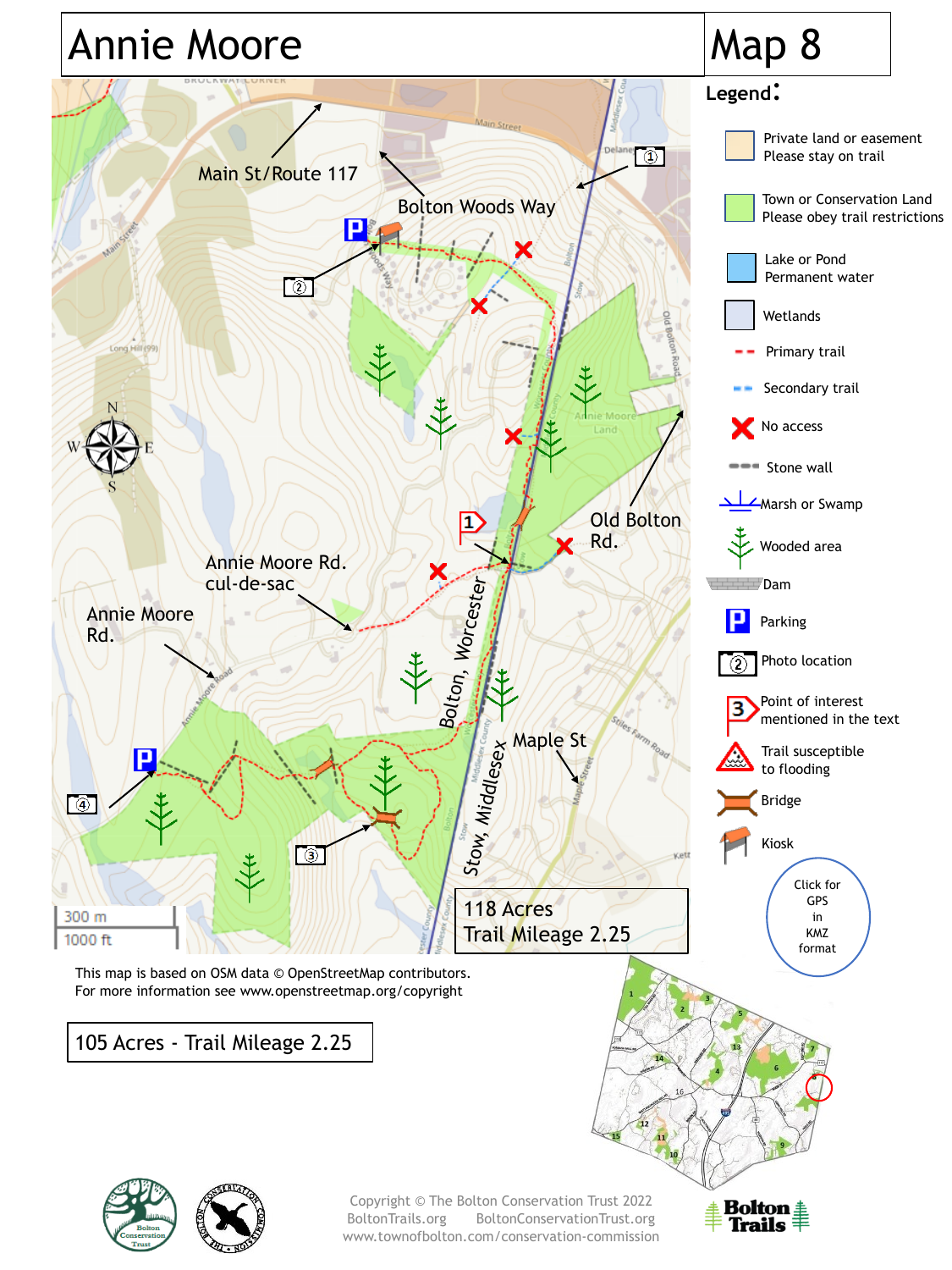

BoltonTrails.org BoltonConservationTrust.org www.townofbolton.com/conservation-commission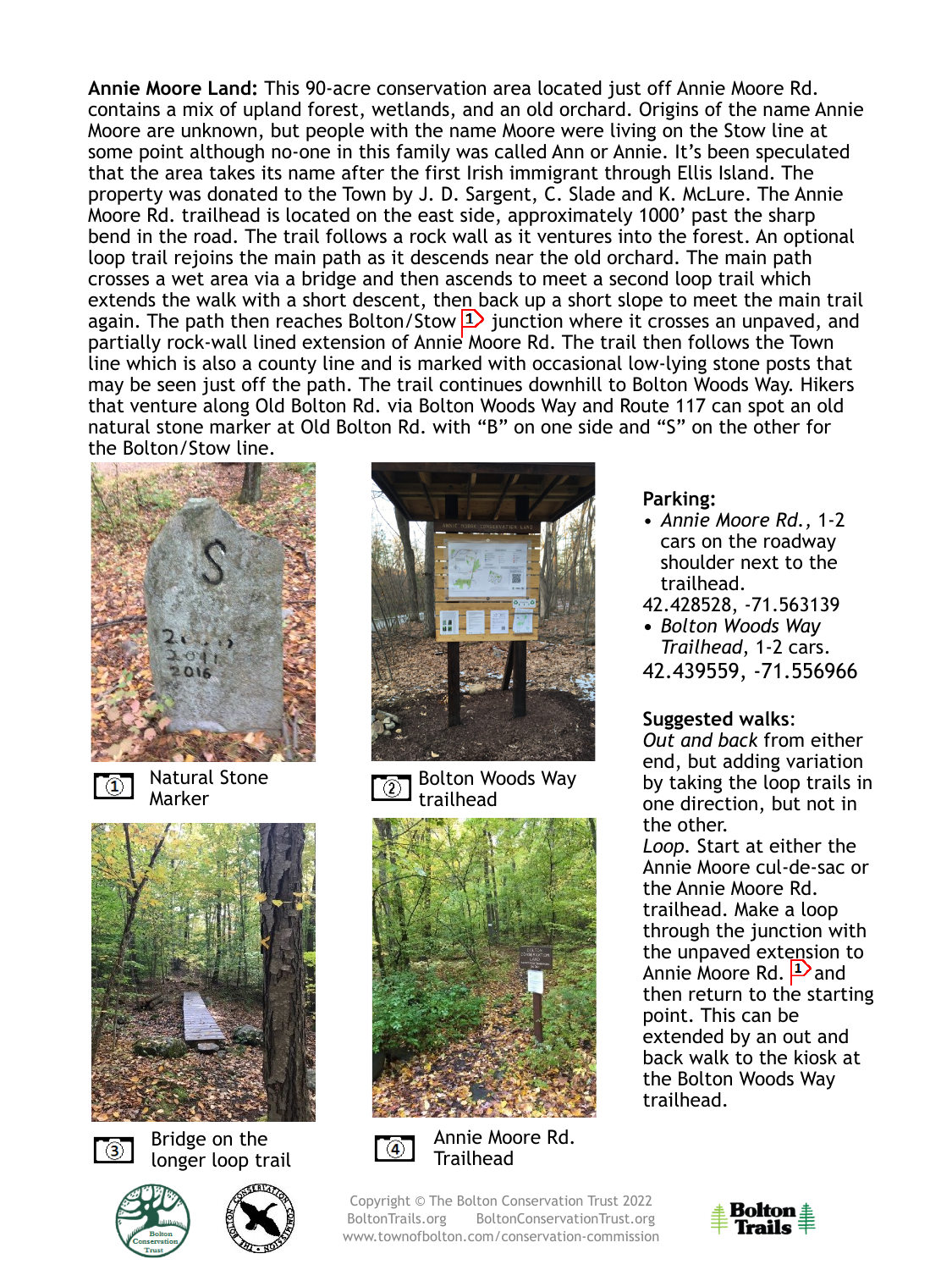**Annie Moore Land:** This 90-acre conservation area located just off Annie Moore Rd. contains a mix of upland forest, wetlands, and an old orchard. Origins of the name Annie Moore are unknown, but people with the name Moore were living on the Stow line at some point although no-one in this family was called Ann or Annie. It's been speculated that the area takes its name after the first Irish immigrant through Ellis Island. The property was donated to the Town by J. D. Sargent, C. Slade and K. McLure. The Annie Moore Rd. trailhead is located on the east side, approximately 1000' past the sharp bend in the road. The trail follows a rock wall as it ventures into the forest. An optional loop trail rejoins the main path as it descends near the old orchard. The main path crosses a wet area via a bridge and then ascends to meet a second loop trail which extends the walk with a short descent, then back up a short slope to meet the main trail again. The path then reaches Bolton/Stow  $\boxed{1}$  junction where it crosses an unpaved, and partially rock-wall lined extension of Annie Moore Rd. The trail then follows the Town line which is also a county line and is marked with occasional low-lying stone posts that may be seen just off the path. The trail continues downhill to Bolton Woods Way. Hikers that venture along Old Bolton Rd. via Bolton Woods Way and Route 117 can spot an old natural stone marker at Old Bolton Rd. with "B" on one side and "S" on the other for the Bolton/Stow line.



 $\mathbb{C}$ 

Natural Stone Marker





Bridge on the longer loop trail







Bolton Woods Way ঠা trailhead



 $\lceil \circledast \rceil$ 

Annie Moore Rd. **Trailhead** 

Copyright © The Bolton Conservation Trust 2022 BoltonTrails.org BoltonConservationTrust.org www.townofbolton.com/conservation-commission

#### **Parking:**

- *Annie Moore Rd.,* 1-2 cars on the roadway shoulder next to the trailhead.
- 42.428528, -71.563139
- **•** *Bolton Woods Way Trailhead*, 1-2 cars. 42.439559, -71.556966

## **Suggested walks**:

*Out and back* from either end, but adding variation by taking the loop trails in one direction, but not in the other.

*Loop.* Start at either the Annie Moore cul-de-sac or the Annie Moore Rd. trailhead. Make a loop through the junction with the unpaved extension to Annie Moore Rd.  $\rightarrow$  and then return to the starting point. This can be extended by an out and back walk to the kiosk at the Bolton Woods Way trailhead.